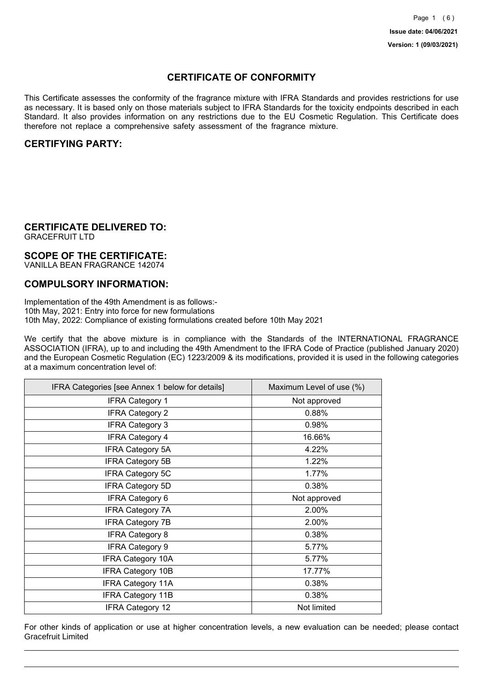## **CERTIFICATE OF CONFORMITY**

This Certificate assesses the conformity of the fragrance mixture with IFRA Standards and provides restrictions for use as necessary. It is based only on those materials subject to IFRA Standards for the toxicity endpoints described in each Standard. It also provides information on any restrictions due to the EU Cosmetic Regulation. This Certificate does therefore not replace a comprehensive safety assessment of the fragrance mixture.

## **CERTIFYING PARTY:**

## **CERTIFICATE DELIVERED TO:**

GRACEFRUIT LTD

## **SCOPE OF THE CERTIFICATE:**

VANILLA BEAN FRAGRANCE 142074

### **COMPULSORY INFORMATION:**

Implementation of the 49th Amendment is as follows:- 10th May, 2021: Entry into force for new formulations 10th May, 2022: Compliance of existing formulations created before 10th May 2021

We certify that the above mixture is in compliance with the Standards of the INTERNATIONAL FRAGRANCE ASSOCIATION (IFRA), up to and including the 49th Amendment to the IFRA Code of Practice (published January 2020) and the European Cosmetic Regulation (EC) 1223/2009 & its modifications, provided it is used in the following categories at a maximum concentration level of:

| IFRA Categories [see Annex 1 below for details] | Maximum Level of use (%) |
|-------------------------------------------------|--------------------------|
| <b>IFRA Category 1</b>                          | Not approved             |
| <b>IFRA Category 2</b>                          | 0.88%                    |
| <b>IFRA Category 3</b>                          | 0.98%                    |
| <b>IFRA Category 4</b>                          | 16.66%                   |
| <b>IFRA Category 5A</b>                         | 4.22%                    |
| <b>IFRA Category 5B</b>                         | 1.22%                    |
| <b>IFRA Category 5C</b>                         | 1.77%                    |
| <b>IFRA Category 5D</b>                         | 0.38%                    |
| <b>IFRA Category 6</b>                          | Not approved             |
| <b>IFRA Category 7A</b>                         | 2.00%                    |
| <b>IFRA Category 7B</b>                         | 2.00%                    |
| <b>IFRA Category 8</b>                          | 0.38%                    |
| <b>IFRA Category 9</b>                          | 5.77%                    |
| <b>IFRA Category 10A</b>                        | 5.77%                    |
| <b>IFRA Category 10B</b>                        | 17.77%                   |
| <b>IFRA Category 11A</b>                        | 0.38%                    |
| <b>IFRA Category 11B</b>                        | 0.38%                    |
| <b>IFRA Category 12</b>                         | Not limited              |

For other kinds of application or use at higher concentration levels, a new evaluation can be needed; please contact Gracefruit Limited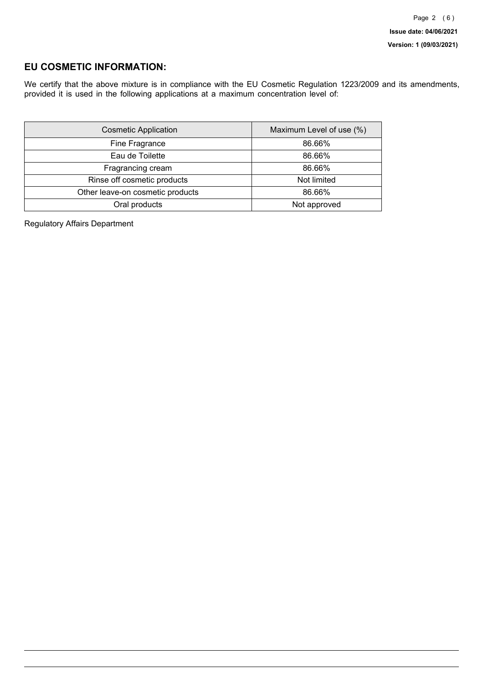## **EU COSMETIC INFORMATION:**

We certify that the above mixture is in compliance with the EU Cosmetic Regulation 1223/2009 and its amendments, provided it is used in the following applications at a maximum concentration level of:

| <b>Cosmetic Application</b>      | Maximum Level of use (%) |
|----------------------------------|--------------------------|
| Fine Fragrance                   | 86.66%                   |
| Eau de Toilette                  | 86.66%                   |
| Fragrancing cream                | 86.66%                   |
| Rinse off cosmetic products      | Not limited              |
| Other leave-on cosmetic products | 86.66%                   |
| Oral products                    | Not approved             |

Regulatory Affairs Department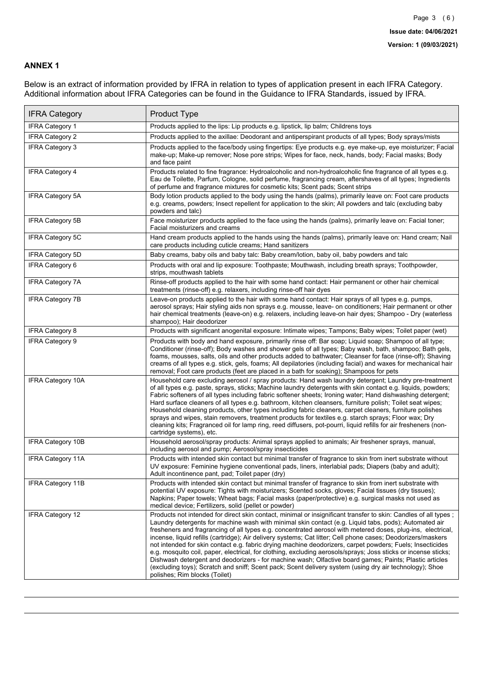### **ANNEX 1**

Below is an extract of information provided by IFRA in relation to types of application present in each IFRA Category. Additional information about IFRA Categories can be found in the Guidance to IFRA Standards, issued by IFRA.

| <b>IFRA Category</b>     | <b>Product Type</b>                                                                                                                                                                                                                                                                                                                                                                                                                                                                                                                                                                                                                                                                                                                                                                                                                                                                                                                          |
|--------------------------|----------------------------------------------------------------------------------------------------------------------------------------------------------------------------------------------------------------------------------------------------------------------------------------------------------------------------------------------------------------------------------------------------------------------------------------------------------------------------------------------------------------------------------------------------------------------------------------------------------------------------------------------------------------------------------------------------------------------------------------------------------------------------------------------------------------------------------------------------------------------------------------------------------------------------------------------|
| <b>IFRA Category 1</b>   | Products applied to the lips: Lip products e.g. lipstick, lip balm; Childrens toys                                                                                                                                                                                                                                                                                                                                                                                                                                                                                                                                                                                                                                                                                                                                                                                                                                                           |
| <b>IFRA Category 2</b>   | Products applied to the axillae: Deodorant and antiperspirant products of all types; Body sprays/mists                                                                                                                                                                                                                                                                                                                                                                                                                                                                                                                                                                                                                                                                                                                                                                                                                                       |
| IFRA Category 3          | Products applied to the face/body using fingertips: Eye products e.g. eye make-up, eye moisturizer; Facial<br>make-up; Make-up remover; Nose pore strips; Wipes for face, neck, hands, body; Facial masks; Body<br>and face paint                                                                                                                                                                                                                                                                                                                                                                                                                                                                                                                                                                                                                                                                                                            |
| <b>IFRA Category 4</b>   | Products related to fine fragrance: Hydroalcoholic and non-hydroalcoholic fine fragrance of all types e.g.<br>Eau de Toilette, Parfum, Cologne, solid perfume, fragrancing cream, aftershaves of all types; Ingredients<br>of perfume and fragrance mixtures for cosmetic kits; Scent pads; Scent strips                                                                                                                                                                                                                                                                                                                                                                                                                                                                                                                                                                                                                                     |
| <b>IFRA Category 5A</b>  | Body lotion products applied to the body using the hands (palms), primarily leave on: Foot care products<br>e.g. creams, powders; Insect repellent for application to the skin; All powders and talc (excluding baby<br>powders and talc)                                                                                                                                                                                                                                                                                                                                                                                                                                                                                                                                                                                                                                                                                                    |
| IFRA Category 5B         | Face moisturizer products applied to the face using the hands (palms), primarily leave on: Facial toner;<br>Facial moisturizers and creams                                                                                                                                                                                                                                                                                                                                                                                                                                                                                                                                                                                                                                                                                                                                                                                                   |
| IFRA Category 5C         | Hand cream products applied to the hands using the hands (palms), primarily leave on: Hand cream; Nail<br>care products including cuticle creams; Hand sanitizers                                                                                                                                                                                                                                                                                                                                                                                                                                                                                                                                                                                                                                                                                                                                                                            |
| <b>IFRA Category 5D</b>  | Baby creams, baby oils and baby talc: Baby cream/lotion, baby oil, baby powders and talc                                                                                                                                                                                                                                                                                                                                                                                                                                                                                                                                                                                                                                                                                                                                                                                                                                                     |
| <b>IFRA Category 6</b>   | Products with oral and lip exposure: Toothpaste; Mouthwash, including breath sprays; Toothpowder,<br>strips, mouthwash tablets                                                                                                                                                                                                                                                                                                                                                                                                                                                                                                                                                                                                                                                                                                                                                                                                               |
| <b>IFRA Category 7A</b>  | Rinse-off products applied to the hair with some hand contact: Hair permanent or other hair chemical<br>treatments (rinse-off) e.g. relaxers, including rinse-off hair dyes                                                                                                                                                                                                                                                                                                                                                                                                                                                                                                                                                                                                                                                                                                                                                                  |
| <b>IFRA Category 7B</b>  | Leave-on products applied to the hair with some hand contact: Hair sprays of all types e.g. pumps,<br>aerosol sprays; Hair styling aids non sprays e.g. mousse, leave- on conditioners; Hair permanent or other<br>hair chemical treatments (leave-on) e.g. relaxers, including leave-on hair dyes; Shampoo - Dry (waterless<br>shampoo); Hair deodorizer                                                                                                                                                                                                                                                                                                                                                                                                                                                                                                                                                                                    |
| <b>IFRA Category 8</b>   | Products with significant anogenital exposure: Intimate wipes; Tampons; Baby wipes; Toilet paper (wet)                                                                                                                                                                                                                                                                                                                                                                                                                                                                                                                                                                                                                                                                                                                                                                                                                                       |
| <b>IFRA Category 9</b>   | Products with body and hand exposure, primarily rinse off: Bar soap; Liquid soap; Shampoo of all type;<br>Conditioner (rinse-off); Body washes and shower gels of all types; Baby wash, bath, shampoo; Bath gels,<br>foams, mousses, salts, oils and other products added to bathwater; Cleanser for face (rinse-off); Shaving<br>creams of all types e.g. stick, gels, foams; All depilatories (including facial) and waxes for mechanical hair<br>removal; Foot care products (feet are placed in a bath for soaking); Shampoos for pets                                                                                                                                                                                                                                                                                                                                                                                                   |
| <b>IFRA Category 10A</b> | Household care excluding aerosol / spray products: Hand wash laundry detergent; Laundry pre-treatment<br>of all types e.g. paste, sprays, sticks; Machine laundry detergents with skin contact e.g. liquids, powders;<br>Fabric softeners of all types including fabric softener sheets; Ironing water; Hand dishwashing detergent;<br>Hard surface cleaners of all types e.g. bathroom, kitchen cleansers, furniture polish; Toilet seat wipes;<br>Household cleaning products, other types including fabric cleaners, carpet cleaners, furniture polishes<br>sprays and wipes, stain removers, treatment products for textiles e.g. starch sprays; Floor wax; Dry<br>cleaning kits; Fragranced oil for lamp ring, reed diffusers, pot-pourri, liquid refills for air fresheners (non-<br>cartridge systems), etc.                                                                                                                          |
| <b>IFRA Category 10B</b> | Household aerosol/spray products: Animal sprays applied to animals; Air freshener sprays, manual,<br>including aerosol and pump; Aerosol/spray insecticides                                                                                                                                                                                                                                                                                                                                                                                                                                                                                                                                                                                                                                                                                                                                                                                  |
| <b>IFRA Category 11A</b> | Products with intended skin contact but minimal transfer of fragrance to skin from inert substrate without<br>UV exposure: Feminine hygiene conventional pads, liners, interlabial pads; Diapers (baby and adult);<br>Adult incontinence pant, pad; Toilet paper (dry)                                                                                                                                                                                                                                                                                                                                                                                                                                                                                                                                                                                                                                                                       |
| <b>IFRA Category 11B</b> | Products with intended skin contact but minimal transfer of fragrance to skin from inert substrate with<br>potential UV exposure: Tights with moisturizers; Scented socks, gloves; Facial tissues (dry tissues);<br>Napkins; Paper towels; Wheat bags; Facial masks (paper/protective) e.g. surgical masks not used as<br>medical device; Fertilizers, solid (pellet or powder)                                                                                                                                                                                                                                                                                                                                                                                                                                                                                                                                                              |
| <b>IFRA Category 12</b>  | Products not intended for direct skin contact, minimal or insignificant transfer to skin: Candles of all types;<br>Laundry detergents for machine wash with minimal skin contact (e.g. Liquid tabs, pods); Automated air<br>fresheners and fragrancing of all types e.g. concentrated aerosol with metered doses, plug-ins, electrical,<br>incense, liquid refills (cartridge); Air delivery systems; Cat litter; Cell phone cases; Deodorizers/maskers<br>not intended for skin contact e.g. fabric drying machine deodorizers, carpet powders; Fuels; Insecticides<br>e.g. mosquito coil, paper, electrical, for clothing, excluding aerosols/sprays; Joss sticks or incense sticks;<br>Dishwash detergent and deodorizers - for machine wash; Olfactive board games; Paints; Plastic articles<br>(excluding toys); Scratch and sniff; Scent pack; Scent delivery system (using dry air technology); Shoe<br>polishes; Rim blocks (Toilet) |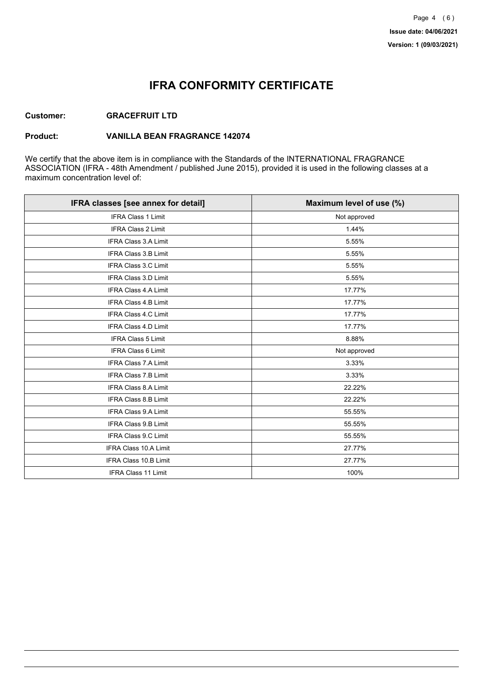## **IFRA CONFORMITY CERTIFICATE**

#### **Customer: GRACEFRUIT LTD**

#### **Product: VANILLA BEAN FRAGRANCE 142074**

We certify that the above item is in compliance with the Standards of the INTERNATIONAL FRAGRANCE ASSOCIATION (IFRA - 48th Amendment / published June 2015), provided it is used in the following classes at a maximum concentration level of:

| IFRA classes [see annex for detail] | Maximum level of use (%) |
|-------------------------------------|--------------------------|
| <b>IFRA Class 1 Limit</b>           | Not approved             |
| <b>IFRA Class 2 Limit</b>           | 1.44%                    |
| <b>IFRA Class 3.A Limit</b>         | 5.55%                    |
| IFRA Class 3.B Limit                | 5.55%                    |
| IFRA Class 3.C Limit                | 5.55%                    |
| IFRA Class 3.D Limit                | 5.55%                    |
| <b>IFRA Class 4.A Limit</b>         | 17.77%                   |
| <b>IFRA Class 4.B Limit</b>         | 17.77%                   |
| IFRA Class 4.C Limit                | 17.77%                   |
| <b>IFRA Class 4.D Limit</b>         | 17.77%                   |
| <b>IFRA Class 5 Limit</b>           | 8.88%                    |
| <b>IFRA Class 6 Limit</b>           | Not approved             |
| <b>IFRA Class 7.A Limit</b>         | 3.33%                    |
| IFRA Class 7.B Limit                | 3.33%                    |
| IFRA Class 8.A Limit                | 22.22%                   |
| IFRA Class 8.B Limit                | 22.22%                   |
| <b>IFRA Class 9.A Limit</b>         | 55.55%                   |
| <b>IFRA Class 9.B Limit</b>         | 55.55%                   |
| IFRA Class 9.C Limit                | 55.55%                   |
| IFRA Class 10.A Limit               | 27.77%                   |
| IFRA Class 10.B Limit               | 27.77%                   |
| <b>IFRA Class 11 Limit</b>          | 100%                     |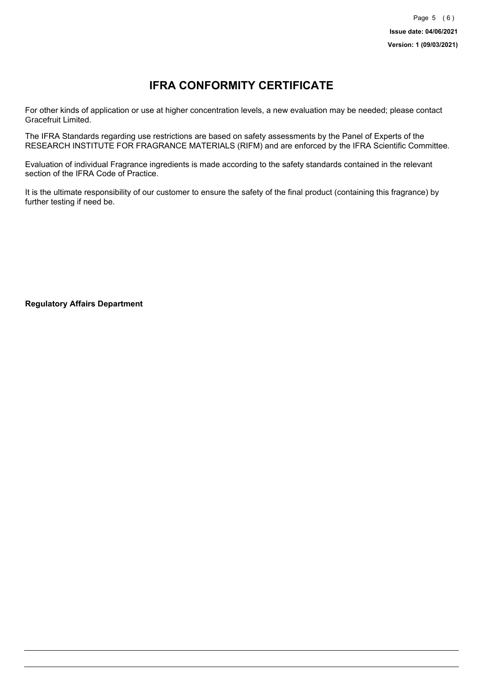# **IFRA CONFORMITY CERTIFICATE**

For other kinds of application or use at higher concentration levels, a new evaluation may be needed; please contact Gracefruit Limited.

The IFRA Standards regarding use restrictions are based on safety assessments by the Panel of Experts of the RESEARCH INSTITUTE FOR FRAGRANCE MATERIALS (RIFM) and are enforced by the IFRA Scientific Committee.

Evaluation of individual Fragrance ingredients is made according to the safety standards contained in the relevant section of the IFRA Code of Practice.

It is the ultimate responsibility of our customer to ensure the safety of the final product (containing this fragrance) by further testing if need be.

**Regulatory Affairs Department**